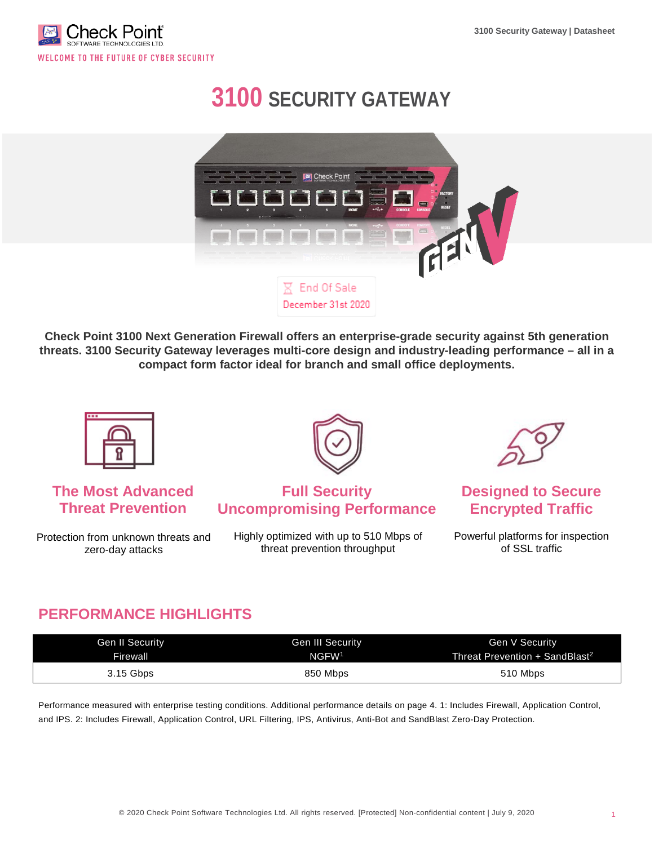

# **3100 SECURITY GATEWAY**



**Check Point 3100 Next Generation Firewall offers an enterprise-grade security against 5th generation threats. 3100 Security Gateway leverages multi-core design and industry-leading performance – all in a compact form factor ideal for branch and small office deployments.**



# **The Most Advanced Threat Prevention**

Protection from unknown threats and zero-day attacks



### **Full Security Uncompromising Performance**

Highly optimized with up to 510 Mbps of threat prevention throughput



## **Designed to Secure Encrypted Traffic**

Powerful platforms for inspection of SSL traffic

# **PERFORMANCE HIGHLIGHTS**

| <b>Gen II Security</b> | <b>Gen III Security</b> | Gen V Security                             |  |  |
|------------------------|-------------------------|--------------------------------------------|--|--|
| <b>Firewall</b>        | NGFW <sup>1</sup>       | Threat Prevention + SandBlast <sup>2</sup> |  |  |
| 3.15 Gbps              | 850 Mbps                | 510 Mbps                                   |  |  |

Performance measured with enterprise testing conditions. Additional performance details on page 4. 1: Includes Firewall, Application Control, and IPS. 2: Includes Firewall, Application Control, URL Filtering, IPS, Antivirus, Anti-Bot and SandBlast Zero-Day Protection.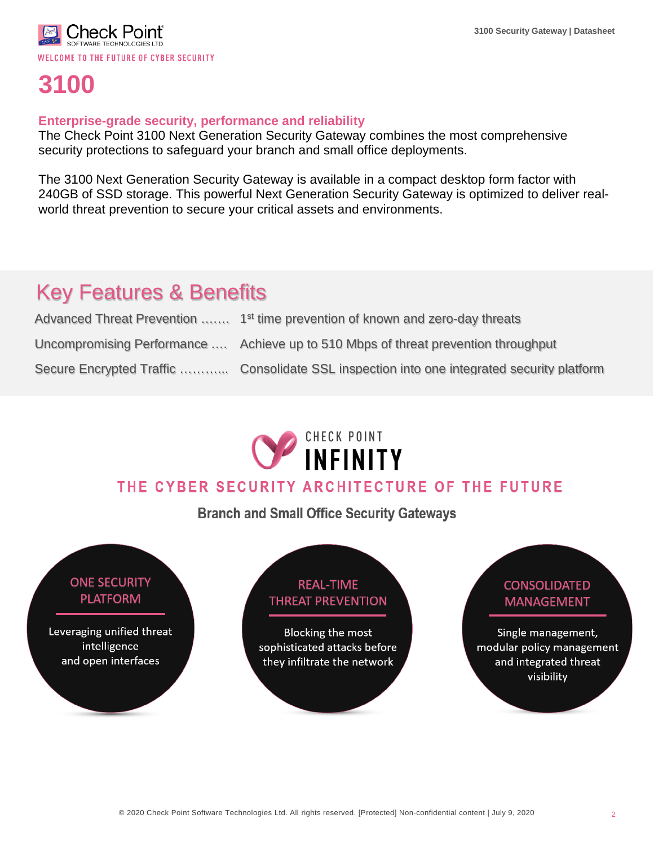

# **3100**

### **Enterprise-grade security, performance and reliability**

The Check Point 3100 Next Generation Security Gateway combines the most comprehensive security protections to safeguard your branch and small office deployments.

The 3100 Next Generation Security Gateway is available in a compact desktop form factor with 240GB of SSD storage. This powerful Next Generation Security Gateway is optimized to deliver realworld threat prevention to secure your critical assets and environments.

# Key Features & Benefits

| Advanced Threat Prevention  1 <sup>st</sup> time prevention of known and zero-day threats  |
|--------------------------------------------------------------------------------------------|
| Uncompromising Performance  Achieve up to 510 Mbps of threat prevention throughput         |
| Secure Encrypted Traffic  Consolidate SSL inspection into one integrated security platform |



# THE CYBER SECURITY ARCHITECTURE OF THE FUTURE

**Branch and Small Office Security Gateways** 

### **ONE SECURITY PLATFORM**

Leveraging unified threat intelligence and open interfaces

# **REAL-TIME THREAT PREVENTION**

**Blocking the most** sophisticated attacks before they infiltrate the network

# **CONSOLIDATED MANAGEMENT** Single management, modular policy management and integrated threat visibility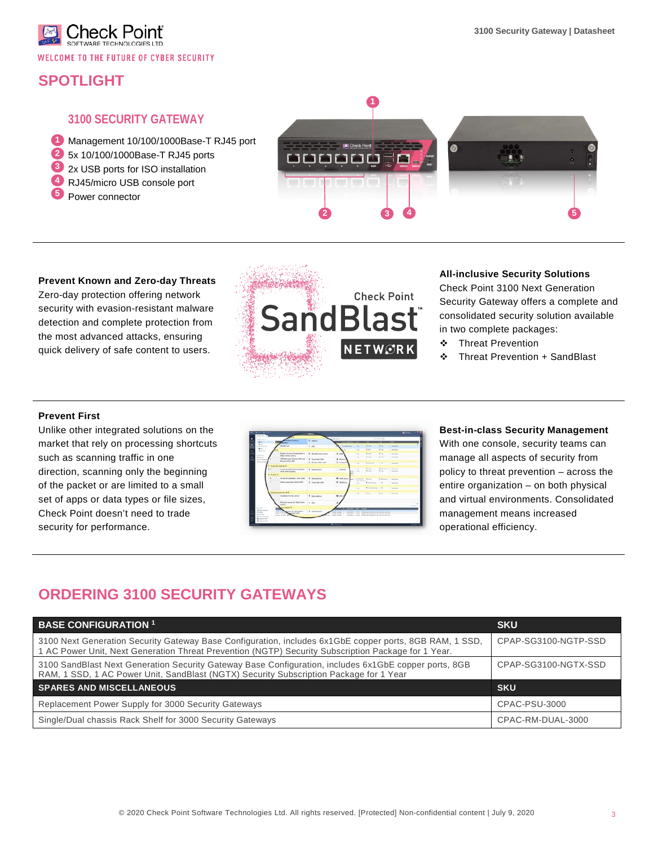

# **SPOTLIGHT**

#### **3100 SECURITY GATEWAY**

Management 10/100/1000Base-T RJ45 port **1**

- 5x 10/100/1000Base-T RJ45 ports **2**
- 2x USB ports for ISO installation **3**
- RJ45/micro USB console port **4**
- Power connector **5**



#### **Prevent Known and Zero-day Threats**

Zero-day protection offering network security with evasion-resistant malware detection and complete protection from the most advanced attacks, ensuring quick delivery of safe content to users.



#### **All-inclusive Security Solutions**

Check Point 3100 Next Generation Security Gateway offers a complete and consolidated security solution available in two complete packages:

- Threat Prevention
- Threat Prevention + SandBlast

#### **Prevent First**

Unlike other integrated solutions on the market that rely on processing shortcuts such as scanning traffic in one direction, scanning only the beginning of the packet or are limited to a small set of apps or data types or file sizes, Check Point doesn't need to trade security for performance.

|                                   | <b>MACADINA NA</b>                                                      | ED Adverse                                     | $-2 -$                                                                                                                                  |                      |                                |               |                                         |
|-----------------------------------|-------------------------------------------------------------------------|------------------------------------------------|-----------------------------------------------------------------------------------------------------------------------------------------|----------------------|--------------------------------|---------------|-----------------------------------------|
| <b><i>Charles County</i></b>      | addressing                                                              | 8.44                                           | <b>A Milkows</b>                                                                                                                        | <b>COM</b>           | <b>A 140</b>                   | th car        | <b>C. Britisher</b>                     |
| <b>Allena</b>                     |                                                                         |                                                |                                                                                                                                         | $\overline{a}$       | 1.14                           | 9.14          | 1 Starbus                               |
|                                   | Restrict Arrival of relationship for<br>Ada Gene Lanes                  | <b>IS - Remain Avenue Linear</b>               | $A$ bad                                                                                                                                 | $-1$                 | $+ -$                          | $\epsilon -$  | <b>A Brand</b>                          |
|                                   | <b>UNIQuinear Stend UNa and</b><br>Brench office Lets                   | <b>M.</b> Countries Levis.<br>& Burus situs um | A maint<br>31 Inquie                                                                                                                    | <b>CALL</b>          | ALC: UNK                       | 6.4           | 1. Inches                               |
|                                   | August To Astronomy 18                                                  |                                                |                                                                                                                                         | $-44$                |                                | $-$           | 1 big her.                              |
| <b>ALC</b>                        | Arm bibliothermany's 1 manufact<br>three control grates                 |                                                | <b>CL brand</b>                                                                                                                         | $-$<br><b>COMPOS</b> | <b>Richard</b><br><b>B</b> may | $\frac{1}{2}$ | Witnessen L.C. Startings<br>11 Northern |
| <b>w</b> limit at A               |                                                                         |                                                |                                                                                                                                         |                      |                                |               |                                         |
|                                   | access to children's with select                                        | <sup>21</sup> Islandbay                        | <b>W</b> lots favor                                                                                                                     | A lotume             | $8 - 4$                        |               | E permitte - or processes               |
|                                   | Alling company's Life Author?                                           | 30 Corporate LANE                              | <b>B</b> Jacques                                                                                                                        | to street<br>$-$     | * Automatic                    | Total Mar     | of mechanic                             |
|                                   |                                                                         |                                                |                                                                                                                                         | $-10$                | Commercial                     |               | <b>Contract</b>                         |
|                                   | Toda Canton Avenue, 414                                                 |                                                |                                                                                                                                         | $-100 - 100$         | ALC: U                         |               | San Common                              |
|                                   | <b>Substant to Na veneral</b>                                           | T technical                                    | $m$ cut                                                                                                                                 |                      |                                |               |                                         |
|                                   | Became a ground a fight finalism. If you want<br>senior.                |                                                |                                                                                                                                         |                      |                                |               |                                         |
|                                   | <b>ALL GALLER</b>                                                       |                                                |                                                                                                                                         | ---                  |                                |               |                                         |
| A decisional                      | point to see part 1. If whenches<br><b>And I like the supporter and</b> |                                                | at plans 1. Therefore, then believe becomes the district battles<br>that them. If you must be an associated the product of the barrier. |                      |                                |               |                                         |
| <b>COLLA</b><br><b>Britainian</b> | <b>Jackson WT</b>                                                       |                                                | the senatories of the process times being an experience and service                                                                     |                      |                                |               |                                         |

#### **Best-in-class Security Management**

With one console, security teams can manage all aspects of security from policy to threat prevention – across the entire organization – on both physical and virtual environments. Consolidated management means increased operational efficiency.

## **ORDERING 3100 SECURITY GATEWAYS**

| <b>BASE CONFIGURATION 1</b>                                                                                                                                                                                    | <b>SKU</b>           |  |
|----------------------------------------------------------------------------------------------------------------------------------------------------------------------------------------------------------------|----------------------|--|
| 3100 Next Generation Security Gateway Base Configuration, includes 6x1GbE copper ports, 8GB RAM, 1 SSD,<br>1 AC Power Unit, Next Generation Threat Prevention (NGTP) Security Subscription Package for 1 Year. | CPAP-SG3100-NGTP-SSD |  |
| 3100 SandBlast Next Generation Security Gateway Base Configuration, includes 6x1GbE copper ports, 8GB<br>RAM, 1 SSD, 1 AC Power Unit, SandBlast (NGTX) Security Subscription Package for 1 Year                | CPAP-SG3100-NGTX-SSD |  |
| <b>SPARES AND MISCELLANEOUS</b>                                                                                                                                                                                | <b>SKU</b>           |  |
| Replacement Power Supply for 3000 Security Gateways                                                                                                                                                            | CPAC-PSU-3000        |  |
| Single/Dual chassis Rack Shelf for 3000 Security Gateways                                                                                                                                                      | CPAC-RM-DUAL-3000    |  |